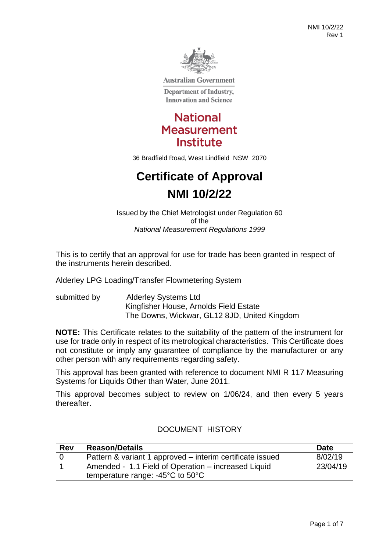

**Australian Government** 

**Department of Industry, Innovation and Science** 



36 Bradfield Road, West Lindfield NSW 2070

# **Certificate of Approval NMI 10/2/22**

Issued by the Chief Metrologist under Regulation 60 of the *National Measurement Regulations 1999*

This is to certify that an approval for use for trade has been granted in respect of the instruments herein described.

Alderley LPG Loading/Transfer Flowmetering System

submitted by Alderley Systems Ltd Kingfisher House, Arnolds Field Estate The Downs, Wickwar, GL12 8JD, United Kingdom

**NOTE:** This Certificate relates to the suitability of the pattern of the instrument for use for trade only in respect of its metrological characteristics. This Certificate does not constitute or imply any guarantee of compliance by the manufacturer or any other person with any requirements regarding safety.

This approval has been granted with reference to document NMI R 117 Measuring Systems for Liquids Other than Water, June 2011.

This approval becomes subject to review on 1/06/24, and then every 5 years thereafter.

| <b>Rev</b> | <b>Reason/Details</b>                                     | Date     |
|------------|-----------------------------------------------------------|----------|
|            | Pattern & variant 1 approved – interim certificate issued | 8/02/19  |
|            | Amended - 1.1 Field of Operation - increased Liquid       | 23/04/19 |
|            | temperature range: $-45^{\circ}$ C to $50^{\circ}$ C      |          |

# DOCUMENT HISTORY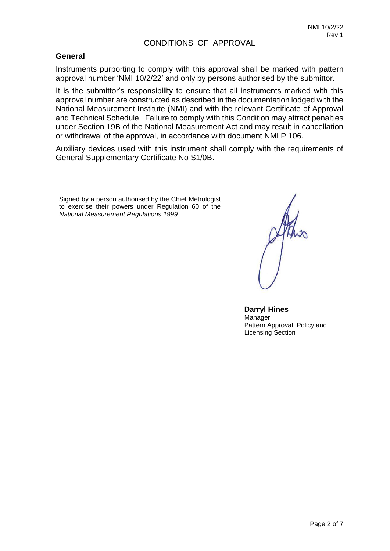#### CONDITIONS OF APPROVAL

#### **General**

Instruments purporting to comply with this approval shall be marked with pattern approval number 'NMI 10/2/22' and only by persons authorised by the submittor.

It is the submittor's responsibility to ensure that all instruments marked with this approval number are constructed as described in the documentation lodged with the National Measurement Institute (NMI) and with the relevant Certificate of Approval and Technical Schedule. Failure to comply with this Condition may attract penalties under Section 19B of the National Measurement Act and may result in cancellation or withdrawal of the approval, in accordance with document NMI P 106.

Auxiliary devices used with this instrument shall comply with the requirements of General Supplementary Certificate No S1/0B.

Signed by a person authorised by the Chief Metrologist to exercise their powers under Regulation 60 of the *National Measurement Regulations 1999*.

**Darryl Hines**  Manager Pattern Approval, Policy and Licensing Section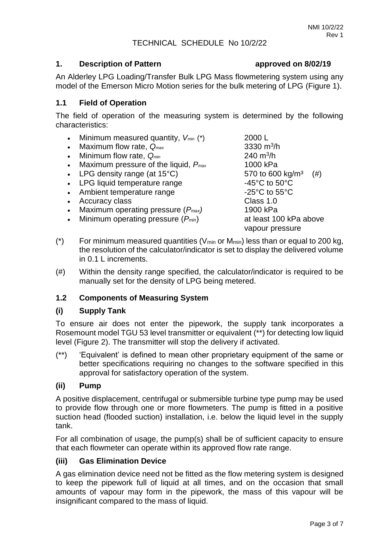### TECHNICAL SCHEDULE No 10/2/22

#### **1. Description of Pattern approved on 8/02/19**

An Alderley LPG Loading/Transfer Bulk LPG Mass flowmetering system using any model of the Emerson Micro Motion series for the bulk metering of LPG (Figure 1).

### **1.1 Field of Operation**

The field of operation of the measuring system is determined by the following characteristics:

- Minimum measured quantity, *Vmin* (\*) 2000 L
- Maximum flow rate,  $Q_{max}$
- $\bullet$  Minimum flow rate,  $Q_{min}$
- Maximum pressure of the liquid, *Pmax* 1000 kPa
- LPG density range (at  $15^{\circ}$ C) 570 to 600 kg/m<sup>3</sup> (#)
- LPG liquid temperature range  $-45^{\circ}$ C to 50 $^{\circ}$ C
- Ambient temperature range  $-25^{\circ}$ C to 55 $^{\circ}$ C
- Accuracy class **Class 1.0**
- Maximum operating pressure (*Pmax)* 1900 kPa
- Minimum operating pressure (*Pmin*) at least 100 kPa above

3330  $m^3/h$ 240  $m^3/h$ vapour pressure

- (\*) For minimum measured quantities ( $V_{min}$  or  $M_{min}$ ) less than or equal to 200 kg, the resolution of the calculator/indicator is set to display the delivered volume in 0.1 L increments.
- (#) Within the density range specified, the calculator/indicator is required to be manually set for the density of LPG being metered.

# **1.2 Components of Measuring System**

#### **(i) Supply Tank**

To ensure air does not enter the pipework, the supply tank incorporates a Rosemount model TGU 53 level transmitter or equivalent (\*\*) for detecting low liquid level (Figure 2). The transmitter will stop the delivery if activated.

(\*\*) 'Equivalent' is defined to mean other proprietary equipment of the same or better specifications requiring no changes to the software specified in this approval for satisfactory operation of the system.

#### **(ii) Pump**

A positive displacement, centrifugal or submersible turbine type pump may be used to provide flow through one or more flowmeters. The pump is fitted in a positive suction head (flooded suction) installation, i.e. below the liquid level in the supply tank.

For all combination of usage, the pump(s) shall be of sufficient capacity to ensure that each flowmeter can operate within its approved flow rate range.

# **(iii) Gas Elimination Device**

A gas elimination device need not be fitted as the flow metering system is designed to keep the pipework full of liquid at all times, and on the occasion that small amounts of vapour may form in the pipework, the mass of this vapour will be insignificant compared to the mass of liquid.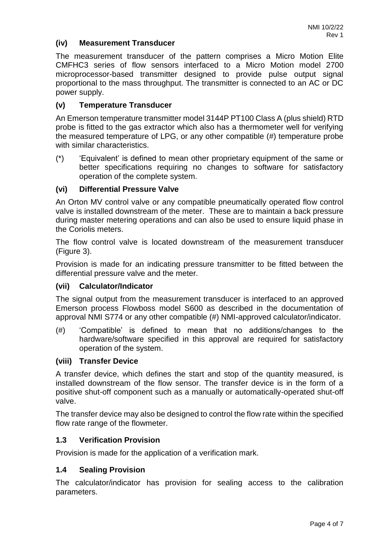### **(iv) Measurement Transducer**

The measurement transducer of the pattern comprises a Micro Motion Elite CMFHC3 series of flow sensors interfaced to a Micro Motion model 2700 microprocessor-based transmitter designed to provide pulse output signal proportional to the mass throughput. The transmitter is connected to an AC or DC power supply.

#### **(v) Temperature Transducer**

An Emerson temperature transmitter model 3144P PT100 Class A (plus shield) RTD probe is fitted to the gas extractor which also has a thermometer well for verifying the measured temperature of LPG, or any other compatible (#) temperature probe with similar characteristics.

(\*) 'Equivalent' is defined to mean other proprietary equipment of the same or better specifications requiring no changes to software for satisfactory operation of the complete system.

#### **(vi) Differential Pressure Valve**

An Orton MV control valve or any compatible pneumatically operated flow control valve is installed downstream of the meter. These are to maintain a back pressure during master metering operations and can also be used to ensure liquid phase in the Coriolis meters.

The flow control valve is located downstream of the measurement transducer (Figure 3).

Provision is made for an indicating pressure transmitter to be fitted between the differential pressure valve and the meter.

#### **(vii) Calculator/Indicator**

The signal output from the measurement transducer is interfaced to an approved Emerson process Flowboss model S600 as described in the documentation of approval NMI S774 or any other compatible (#) NMI-approved calculator/indicator.

(#) 'Compatible' is defined to mean that no additions/changes to the hardware/software specified in this approval are required for satisfactory operation of the system.

#### **(viii) Transfer Device**

A transfer device, which defines the start and stop of the quantity measured, is installed downstream of the flow sensor. The transfer device is in the form of a positive shut-off component such as a manually or automatically-operated shut-off valve.

The transfer device may also be designed to control the flow rate within the specified flow rate range of the flowmeter.

#### **1.3 Verification Provision**

Provision is made for the application of a verification mark.

#### **1.4 Sealing Provision**

The calculator/indicator has provision for sealing access to the calibration parameters.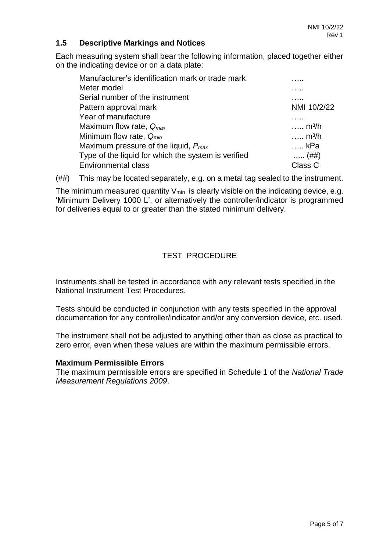## **1.5 Descriptive Markings and Notices**

Each measuring system shall bear the following information, placed together either on the indicating device or on a data plate:

| Manufacturer's identification mark or trade mark    |                            |
|-----------------------------------------------------|----------------------------|
| Meter model                                         |                            |
| Serial number of the instrument                     |                            |
| Pattern approval mark                               | NMI 10/2/22                |
| Year of manufacture                                 | .                          |
| Maximum flow rate, $Q_{max}$                        | $\ldots$ m <sup>3</sup> /h |
| Minimum flow rate, $Q_{min}$                        | $\ldots$ m <sup>3</sup> /h |
| Maximum pressure of the liquid, $P_{\text{max}}$    | … kPa                      |
| Type of the liquid for which the system is verified | $(##)$                     |
| <b>Environmental class</b>                          | Class C                    |

(##) This may be located separately, e.g. on a metal tag sealed to the instrument.

The minimum measured quantity  $V_{min}$  is clearly visible on the indicating device, e.g. 'Minimum Delivery 1000 L', or alternatively the controller/indicator is programmed for deliveries equal to or greater than the stated minimum delivery.

# TEST PROCEDURE

Instruments shall be tested in accordance with any relevant tests specified in the National Instrument Test Procedures.

Tests should be conducted in conjunction with any tests specified in the approval documentation for any controller/indicator and/or any conversion device, etc. used.

The instrument shall not be adjusted to anything other than as close as practical to zero error, even when these values are within the maximum permissible errors.

#### **Maximum Permissible Errors**

The maximum permissible errors are specified in Schedule 1 of the *National Trade Measurement Regulations 2009*.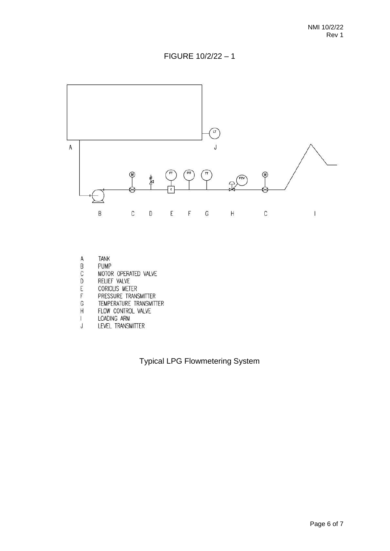



- **TANK**
- PUMP
- MOTOR OPERATED VALVE
- RELIEF VALVE
- ABCDEFGH CORIOLIS METER
- PRESSURE TRANSMITTER
- TEMPERATURE TRANSMITTER
- FLOW CONTROL VALVE
- $\mathbf{I}$ LOADING ARM
- $\sf J$ LEVEL TRANSMITTER

Typical LPG Flowmetering System